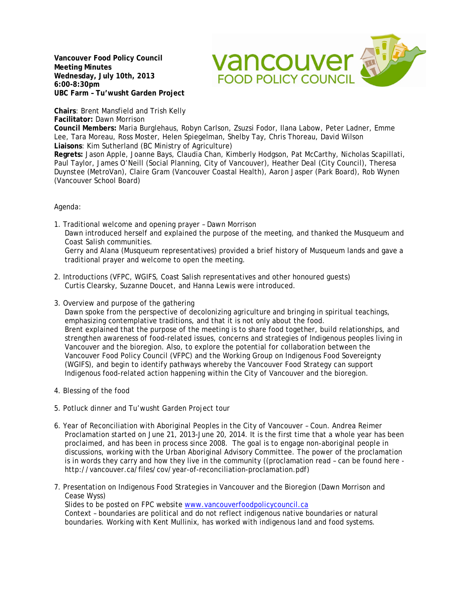**Vancouver Food Policy Council Meeting Minutes Wednesday, July 10th, 2013 6:00-8:30pm UBC Farm – Tu'wusht Garden Project**



**Chairs**: Brent Mansfield and Trish Kelly **Facilitator:** Dawn Morrison

**Council Members:** Maria Burglehaus, Robyn Carlson, Zsuzsi Fodor, Ilana Labow, Peter Ladner, Emme Lee, Tara Moreau, Ross Moster, Helen Spiegelman, Shelby Tay, Chris Thoreau, David Wilson **Liaisons**: Kim Sutherland (BC Ministry of Agriculture)

**Regrets:** Jason Apple, Joanne Bays, Claudia Chan, Kimberly Hodgson, Pat McCarthy, Nicholas Scapillati, Paul Taylor, James O'Neill (Social Planning, City of Vancouver), Heather Deal (City Council), Theresa Duynstee (MetroVan), Claire Gram (Vancouver Coastal Health), Aaron Jasper (Park Board), Rob Wynen (Vancouver School Board)

## Agenda:

1. Traditional welcome and opening prayer – Dawn Morrison Dawn introduced herself and explained the purpose of the meeting, and thanked the Musqueum and Coast Salish communities. Gerry and Alana (Musqueum representatives) provided a brief history of Musqueum lands and gave a traditional prayer and welcome to open the meeting.

- 2. Introductions (VFPC, WGIFS, Coast Salish representatives and other honoured guests) Curtis Clearsky, Suzanne Doucet, and Hanna Lewis were introduced.
- 3. Overview and purpose of the gathering

Dawn spoke from the perspective of decolonizing agriculture and bringing in spiritual teachings, emphasizing contemplative traditions, and that it is not only about the food. Brent explained that the purpose of the meeting is to share food together, build relationships, and strengthen awareness of food-related issues, concerns and strategies of Indigenous peoples living in Vancouver and the bioregion. Also, to explore the potential for collaboration between the Vancouver Food Policy Council (VFPC) and the Working Group on Indigenous Food Sovereignty (WGIFS), and begin to identify pathways whereby the Vancouver Food Strategy can support Indigenous food-related action happening within the City of Vancouver and the bioregion.

- 4. Blessing of the food
- 5. Potluck dinner and Tu'wusht Garden Project tour
- 6. Year of Reconciliation with Aboriginal Peoples in the City of Vancouver Coun. Andrea Reimer Proclamation started on June 21, 2013-June 20, 2014. It is the first time that a whole year has been proclaimed, and has been in process since 2008. The goal is to engage non-aboriginal people in discussions, working with the Urban Aboriginal Advisory Committee. The power of the proclamation is in words they carry and how they live in the community ((proclamation read – can be found here http://vancouver.ca/files/cov/year-of-reconciliation-proclamation.pdf)
- 7. Presentation on Indigenous Food Strategies in Vancouver and the Bioregion (Dawn Morrison and Cease Wyss)

Slides to be posted on FPC website [www.vancouverfoodpolicycouncil.ca](http://www.vancouverfoodpolicycouncil.ca/)

Context – boundaries are political and do not reflect indigenous native boundaries or natural boundaries. Working with Kent Mullinix, has worked with indigenous land and food systems.